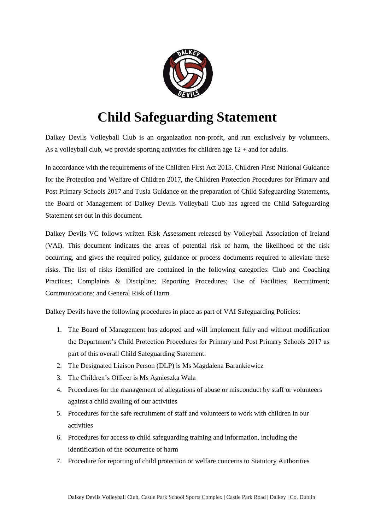

## **Child Safeguarding Statement**

Dalkey Devils Volleyball Club is an organization non-profit, and run exclusively by volunteers. As a volleyball club, we provide sporting activities for children age  $12 +$  and for adults.

In accordance with the requirements of the Children First Act 2015, Children First: National Guidance for the Protection and Welfare of Children 2017, the Children Protection Procedures for Primary and Post Primary Schools 2017 and Tusla Guidance on the preparation of Child Safeguarding Statements, the Board of Management of Dalkey Devils Volleyball Club has agreed the Child Safeguarding Statement set out in this document.

Dalkey Devils VC follows written Risk Assessment released by Volleyball Association of Ireland (VAI). This document indicates the areas of potential risk of harm, the likelihood of the risk occurring, and gives the required policy, guidance or process documents required to alleviate these risks. The list of risks identified are contained in the following categories: Club and Coaching Practices; Complaints & Discipline; Reporting Procedures; Use of Facilities; Recruitment; Communications; and General Risk of Harm.

Dalkey Devils have the following procedures in place as part of VAI Safeguarding Policies:

- 1. The Board of Management has adopted and will implement fully and without modification the Department's Child Protection Procedures for Primary and Post Primary Schools 2017 as part of this overall Child Safeguarding Statement.
- 2. The Designated Liaison Person (DLP) is Ms Magdalena Barankiewicz
- 3. The Children's Officer is Ms Agnieszka Wala
- 4. Procedures for the management of allegations of abuse or misconduct by staff or volunteers against a child availing of our activities
- 5. Procedures for the safe recruitment of staff and volunteers to work with children in our activities
- 6. Procedures for access to child safeguarding training and information, including the identification of the occurrence of harm
- 7. Procedure for reporting of child protection or welfare concerns to Statutory Authorities